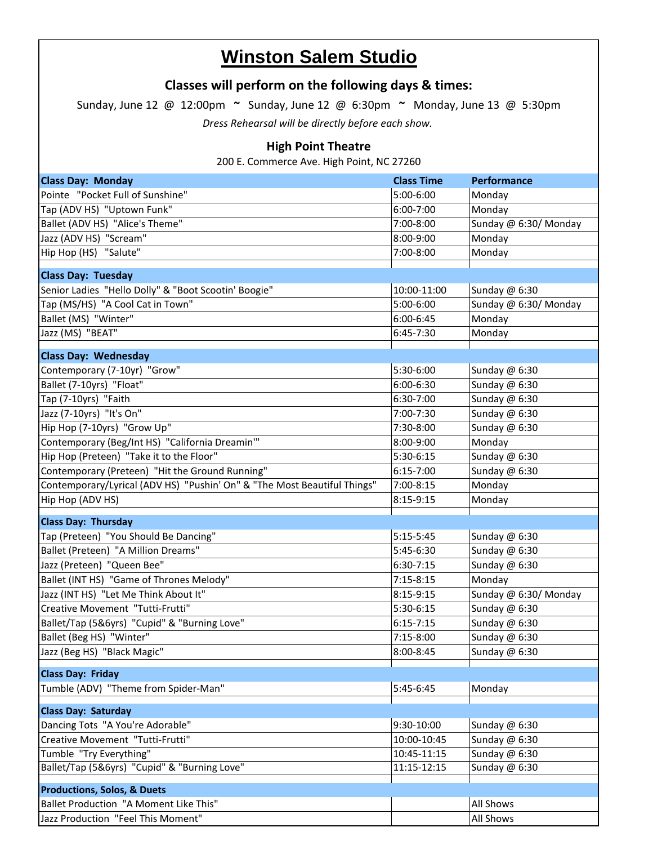## **Winston Salem Studio**

## **Classes will perform on the following days & times:**

Sunday, June 12 @ 12:00pm **~** Sunday, June 12 @ 6:30pm **~** Monday, June 13 @ 5:30pm

*Dress Rehearsal will be directly before each show.*

## **High Point Theatre**

200 E. Commerce Ave. High Point, NC 27260

| <b>Class Day: Monday</b>                                                 | <b>Class Time</b> | Performance           |
|--------------------------------------------------------------------------|-------------------|-----------------------|
| Pointe "Pocket Full of Sunshine"                                         | 5:00-6:00         | Monday                |
| Tap (ADV HS) "Uptown Funk"                                               | 6:00-7:00         | Monday                |
| Ballet (ADV HS) "Alice's Theme"                                          | 7:00-8:00         | Sunday @ 6:30/ Monday |
| Jazz (ADV HS) "Scream"                                                   | 8:00-9:00         | Monday                |
| Hip Hop (HS) "Salute"                                                    | 7:00-8:00         | Monday                |
|                                                                          |                   |                       |
| <b>Class Day: Tuesday</b>                                                |                   |                       |
| Senior Ladies "Hello Dolly" & "Boot Scootin' Boogie"                     | 10:00-11:00       | Sunday @ 6:30         |
| Tap (MS/HS) "A Cool Cat in Town"                                         | 5:00-6:00         | Sunday @ 6:30/ Monday |
| Ballet (MS) "Winter"                                                     | 6:00-6:45         | Monday                |
| Jazz (MS) "BEAT"                                                         | 6:45-7:30         | Monday                |
| <b>Class Day: Wednesday</b>                                              |                   |                       |
| Contemporary (7-10yr) "Grow"                                             | 5:30-6:00         | Sunday @ 6:30         |
| Ballet (7-10yrs) "Float"                                                 | 6:00-6:30         | Sunday @ 6:30         |
| Tap (7-10yrs) "Faith                                                     | 6:30-7:00         | Sunday @ 6:30         |
| Jazz (7-10yrs) "It's On"                                                 | 7:00-7:30         | Sunday @ 6:30         |
| Hip Hop (7-10yrs) "Grow Up"                                              | 7:30-8:00         | Sunday @ 6:30         |
| Contemporary (Beg/Int HS) "California Dreamin'"                          | 8:00-9:00         | Monday                |
| Hip Hop (Preteen) "Take it to the Floor"                                 | 5:30-6:15         | Sunday @ 6:30         |
| Contemporary (Preteen) "Hit the Ground Running"                          | $6:15 - 7:00$     | Sunday @ 6:30         |
| Contemporary/Lyrical (ADV HS) "Pushin' On" & "The Most Beautiful Things" | 7:00-8:15         | Monday                |
| Hip Hop (ADV HS)                                                         | 8:15-9:15         | Monday                |
| <b>Class Day: Thursday</b>                                               |                   |                       |
| Tap (Preteen) "You Should Be Dancing"                                    | $5:15-5:45$       | Sunday @ 6:30         |
| Ballet (Preteen) "A Million Dreams"                                      | 5:45-6:30         | Sunday @ 6:30         |
| Jazz (Preteen) "Queen Bee"                                               | $6:30-7:15$       | Sunday @ 6:30         |
| Ballet (INT HS) "Game of Thrones Melody"                                 | $7:15-8:15$       | Monday                |
| Jazz (INT HS) "Let Me Think About It"                                    | 8:15-9:15         | Sunday @ 6:30/ Monday |
| Creative Movement "Tutti-Frutti"                                         | 5:30-6:15         | Sunday @ 6:30         |
| Ballet/Tap (5&6yrs) "Cupid" & "Burning Love"                             | $6:15 - 7:15$     | Sunday @ 6:30         |
| Ballet (Beg HS) "Winter"                                                 | 7:15-8:00         | Sunday @ 6:30         |
| Jazz (Beg HS) "Black Magic"                                              | 8:00-8:45         | Sunday @ 6:30         |
|                                                                          |                   |                       |
| <b>Class Day: Friday</b>                                                 |                   |                       |
| Tumble (ADV) "Theme from Spider-Man"                                     | 5:45-6:45         | Monday                |
| <b>Class Day: Saturday</b>                                               |                   |                       |
| Dancing Tots "A You're Adorable"                                         | 9:30-10:00        | Sunday @ 6:30         |
| Creative Movement "Tutti-Frutti"                                         | 10:00-10:45       | Sunday @ 6:30         |
| Tumble "Try Everything"                                                  | 10:45-11:15       | Sunday @ 6:30         |
| Ballet/Tap (5&6yrs) "Cupid" & "Burning Love"                             | 11:15-12:15       | Sunday @ 6:30         |
|                                                                          |                   |                       |
| <b>Productions, Solos, &amp; Duets</b>                                   |                   |                       |
| Ballet Production "A Moment Like This"                                   |                   | All Shows             |
| Jazz Production "Feel This Moment"                                       |                   | All Shows             |